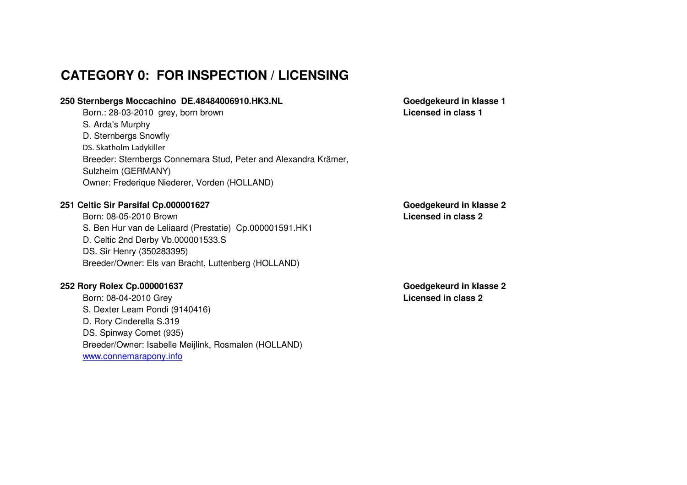## **CATEGORY 0: FOR INSPECTION / LICENSING**

#### **250 Sternbergs Moccachino DE.48484006910.HK3.NL Goedgekeurd in klasse 1**

Born.: 28-03-2010 grey, born brownS. Arda's Murphy D. Sternbergs Snowfly DS. Skatholm Ladykiller Breeder: Sternbergs Connemara Stud, Peter and Alexandra Krämer, Sulzheim (GERMANY)Owner: Frederique Niederer, Vorden (HOLLAND)

#### **251 Celtic Sir Parsifal Cp.000001627**

Born: 08-05-2010 Brown S. Ben Hur van de Leliaard (Prestatie) Cp.000001591.HK1D. Celtic 2nd Derby Vb.000001533.SDS. Sir Henry (350283395)Breeder/Owner: Els van Bracht, Luttenberg (HOLLAND)

#### **252 Rory Rolex Cp.000001637**

Born: 08-04-2010 GreyS. Dexter Leam Pondi (9140416)D. Rory Cinderella S.319 DS. Spinway Comet (935) Breeder/Owner: Isabelle Meijlink, Rosmalen (HOLLAND)www.connemarapony.info

**Licensed in class 1**

**Goedgekeurd in klasse 2**

 **Goedgekeurd in klasse 2 Licensed in class 2**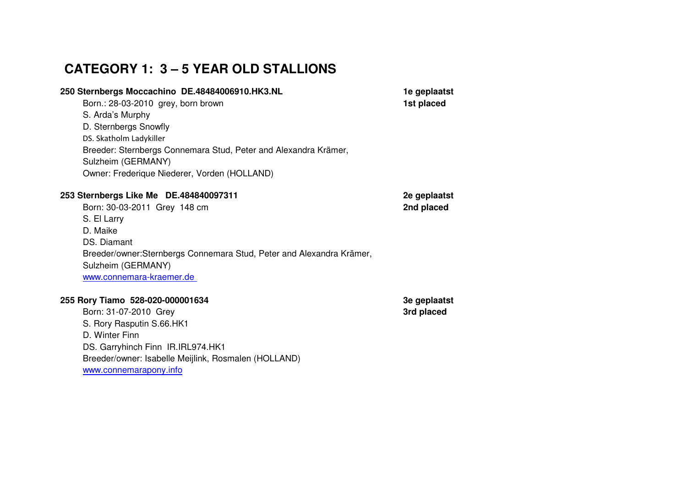## **CATEGORY 1: 3 – 5 YEAR OLD STALLIONS**

#### **250 Sternbergs Moccachino DE.48484006910.HK3.NL 1e geplaatst**

**1st placed**

Born.: 28-03-2010 grey, born brownS. Arda's Murphy D. Sternbergs Snowfly DS. Skatholm Ladykiller Breeder: Sternbergs Connemara Stud, Peter and Alexandra Krämer, Sulzheim (GERMANY)Owner: Frederique Niederer, Vorden (HOLLAND)

#### **253 Sternbergs Like Me DE.484840097311**

Born: 30-03-2011 Grey 148 cmS. El LarryD. Maike DS. Diamant Breeder/owner:Sternbergs Connemara Stud, Peter and Alexandra Krämer,Sulzheim (GERMANY)www.connemara-kraemer.de

#### **255 Rory Tiamo 528-020-000001634**

Born: 31-07-2010 GreyS. Rory Rasputin S.66.HK1D. Winter Finn DS. Garryhinch Finn IR.IRL974.HK1 Breeder/owner: Isabelle Meijlink, Rosmalen (HOLLAND)www.connemarapony.info

 **2e geplaatst 2nd placed**

 **3e geplaatst 3rd placed**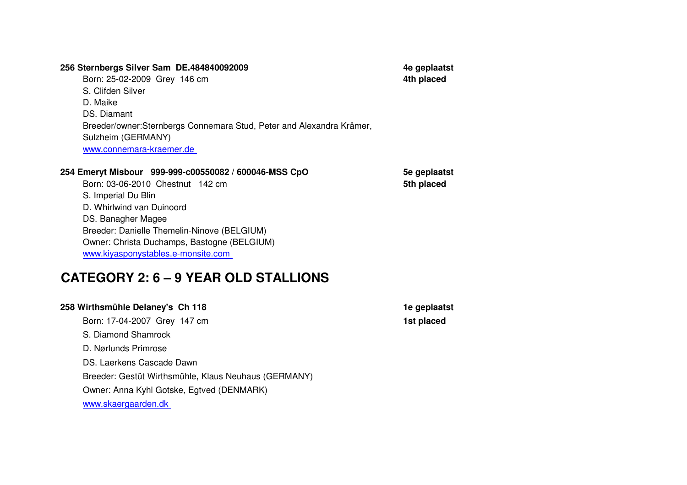#### **256 Sternbergs Silver Sam DE.484840092009**

# **4e geplaatst**

Born: 25-02-2009 Grey 146 cm **4th placed** S. Clifden SilverD. Maike DS. Diamant Breeder/owner:Sternbergs Connemara Stud, Peter and Alexandra Krämer,Sulzheim (GERMANY)www.connemara-kraemer.de

#### **254 Emeryt Misbour 999-999-c00550082 / 600046-MSS CpO**

 **5e geplaatst 5th placed**

Born: 03-06-2010 Chestnut 142 cmS. Imperial Du Blin D. Whirlwind van DuinoordDS. Banagher Magee Breeder: Danielle Themelin-Ninove (BELGIUM) Owner: Christa Duchamps, Bastogne (BELGIUM)www.kiyasponystables.e-monsite.com

## **CATEGORY 2: 6 – 9 YEAR OLD STALLIONS**

#### **258 Wirthsmühle Delaney's Ch 118**

Born: 17-04-2007 Grey 147 cm**n 1st placed** S. Diamond Shamrock D. Nørlunds Primrose DS. Laerkens Cascade Dawn Breeder: Gestüt Wirthsmühle, Klaus Neuhaus (GERMANY)Owner: Anna Kyhl Gotske, Egtved (DENMARK)www.skaergaarden.dk

**1e geplaatst**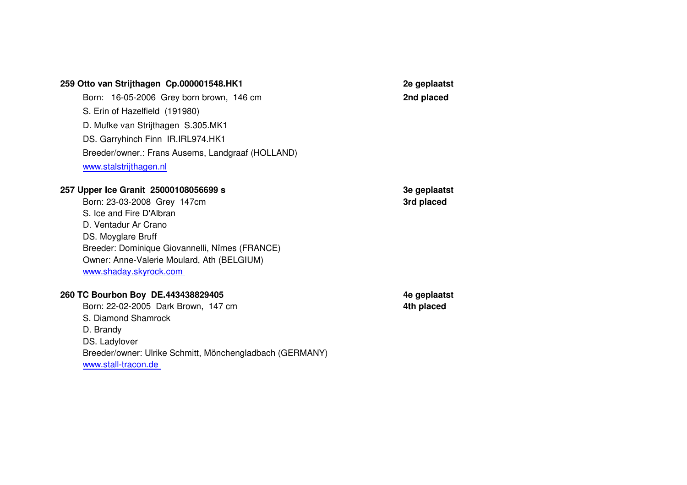#### **259 Otto van Strijthagen Cp.000001548.HK1**

Born: 16-05-2006 Grey born brown, 146 cmS. Erin of Hazelfield (191980)D. Mufke van Strijthagen S.305.MK1 DS. Garryhinch Finn IR.IRL974.HK1 Breeder/owner.: Frans Ausems, Landgraaf (HOLLAND)www.stalstrijthagen.nl

#### **257 Upper Ice Granit 25000108056699 s**

Born: 23-03-2008 Grey 147cm**3rd placed 3rd placed** S. Ice and Fire D'AlbranD. Ventadur Ar CranoDS. Moyglare Bruff Breeder: Dominique Giovannelli, Nîmes (FRANCE)Owner: Anne-Valerie Moulard, Ath (BELGIUM)www.shaday.skyrock.com

#### **260 TC Bourbon Boy DE.443438829405**

Born: 22-02-2005 Dark Brown, 147 cmS. Diamond ShamrockD. Brandy DS. Ladylover Breeder/owner: Ulrike Schmitt, Mönchengladbach (GERMANY)www.stall-tracon.de

 **2e geplaatst 2nd placed**

**3e geplaatst**

 **4e geplaatst 4th placed**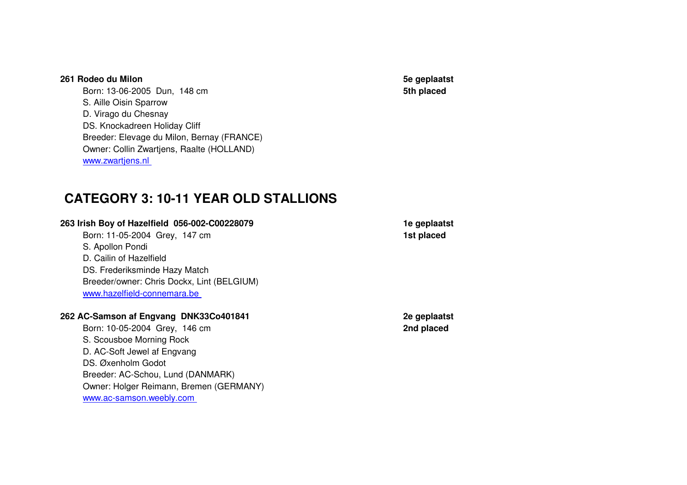#### **261 Rodeo du Milon**

Born: 13-06-2005 Dun, 148 cm**Fig. 2.1 Contract of the contract of the State of the State of the State of the State of the State of the State of the State of the State of the State of the State of the State of the State of the State of the State of th** S. Aille Oisin Sparrow D. Virago du Chesnay DS. Knockadreen Holiday Cliff Breeder: Elevage du Milon, Bernay (FRANCE)Owner: Collin Zwartjens, Raalte (HOLLAND)www.zwartiens.nl

 **CATEGORY 3: 10-11 YEAR OLD STALLIONS** 

#### **263 Irish Boy of Hazelfield 056-002-C00228079**

Born: 11-05-2004 Grey, 147 cm**n 1st placed** S. Apollon PondiD. Cailin of Hazelfield DS. Frederiksminde Hazy Match Breeder/owner: Chris Dockx, Lint (BELGIUM)www.hazelfield-connemara.be

#### **262 AC-Samson af Engvang DNK33Co401841**

Born: 10-05-2004 Grey, 146 cmS. Scousboe Morning Rock D. AC-Soft Jewel af EngvangDS. Øxenholm Godot Breeder: AC-Schou, Lund (DANMARK) Owner: Holger Reimann, Bremen (GERMANY)www.ac-samson.weebly.com

**5e geplaatst**

**1e geplaatst**

 **2e geplaatst 2nd placed**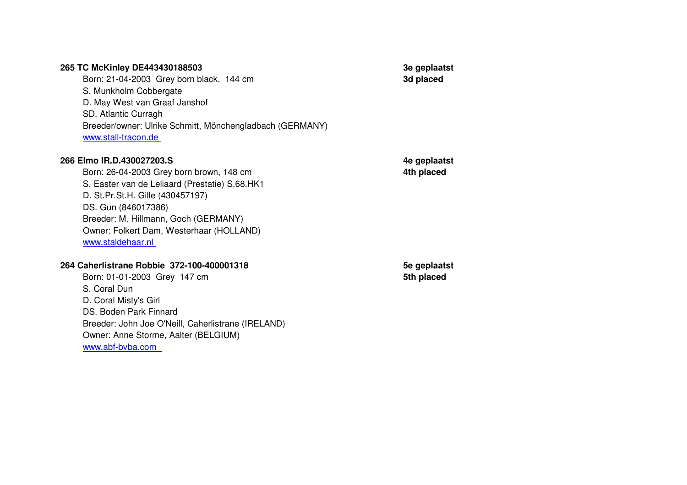#### **265 TC McKinley DE443430188503**

Born: 21-04-2003 Grey born black, 144 cmS. Munkholm Cobbergate D. May West van Graaf JanshofSD. Atlantic Curragh Breeder/owner: Ulrike Schmitt, Mönchengladbach (GERMANY)www.stall-tracon.de

#### **266 Elmo IR.D.430027203.S**

 **4e geplaatst 4th placed**

**3e geplaatst**

**3d placed**

Born: 26-04-2003 Grey born brown, 148 cmS. Easter van de Leliaard (Prestatie) S.68.HK1D. St.Pr.St.H. Gille (430457197)DS. Gun (846017386) Breeder: M. Hillmann, Goch (GERMANY) Owner: Folkert Dam, Westerhaar (HOLLAND)www.staldehaar.nl

#### **264 Caherlistrane Robbie 372-100-400001318**

Born: 01-01-2003 Grey 147 cmS. Coral Dun D. Coral Misty's GirlDS. Boden Park Finnard Breeder: John Joe O'Neill, Caherlistrane (IRELAND)Owner: Anne Storme, Aalter (BELGIUM)www.abf-bvba.com

 **5e geplaatst 5th placed**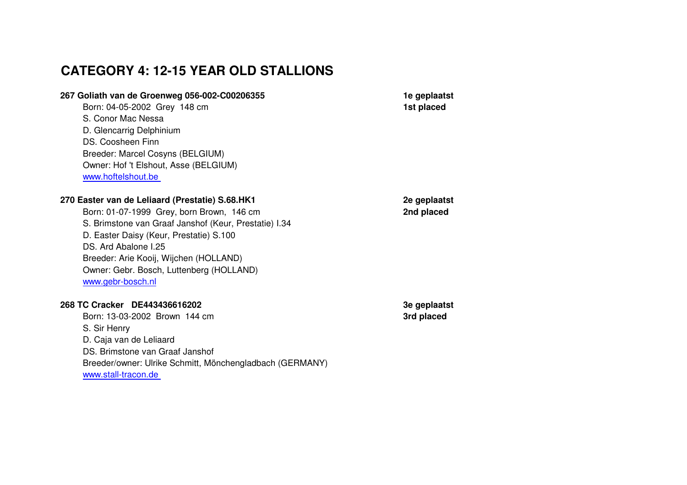# **CATEGORY 4: 12-15 YEAR OLD STALLIONS**

#### **267 Goliath van de Groenweg 056-002-C00206355**

Born: 04-05-2002 Grey 148 cm**n 1st placed** S. Conor Mac Nessa D. Glencarrig DelphiniumDS. Coosheen Finn Breeder: Marcel Cosyns (BELGIUM) Owner: Hof 't Elshout, Asse (BELGIUM)www.hoftelshout.be

#### **270 Easter van de Leliaard (Prestatie) S.68.HK1**

Born: 01-07-1999 Grey, born Brown, 146 cmS. Brimstone van Graaf Janshof (Keur, Prestatie) I.34D. Easter Daisy (Keur, Prestatie) S.100DS. Ard Abalone L25 Breeder: Arie Kooij, Wijchen (HOLLAND) Owner: Gebr. Bosch, Luttenberg (HOLLAND)www.gebr-bosch.nl

#### **268 TC Cracker DE443436616202 3e geplaatst**

Born: 13-03-2002 Brown 144 cm**3rd placed 3rd placed** S. Sir Henry D. Caja van de Leliaard DS. Brimstone van Graaf Janshof Breeder/owner: Ulrike Schmitt, Mönchengladbach (GERMANY)www.stall-tracon.de

**1e geplaatst**

 **2e geplaatst 2nd placed**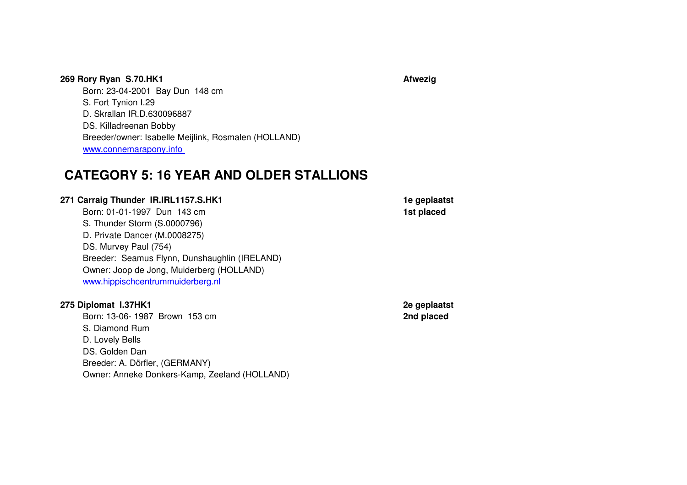#### **269 Rory Ryan S.70.HK1**

 **Afwezig**Born: 23-04-2001 Bay Dun 148 cmS. Fort Tynion I.29 D. Skrallan IR.D.630096887DS. Killadreenan Bobby Breeder/owner: Isabelle Meijlink, Rosmalen (HOLLAND)www.connemarapony.info

### **CATEGORY 5: 16 YEAR AND OLDER STALLIONS**

#### **271 Carraig Thunder IR.IRL1157.S.HK1**

Born: 01-01-1997 Dun 143 cm **1st placed** S. Thunder Storm (S.0000796) D. Private Dancer (M.0008275)DS. Murvey Paul (754) Breeder: Seamus Flynn, Dunshaughlin (IRELAND)Owner: Joop de Jong, Muiderberg (HOLLAND)www.hippischcentrummuiderberg.nl

#### **275 Diplomat I.37HK1**

Born: 13-06- 1987 Brown 153 cmS. Diamond Rum D. Lovely Bells DS. Golden Dan Breeder: A. Dörfler, (GERMANY)Owner: Anneke Donkers-Kamp, Zeeland (HOLLAND) **1e geplaatst**

 **2e geplaatst 2nd placed**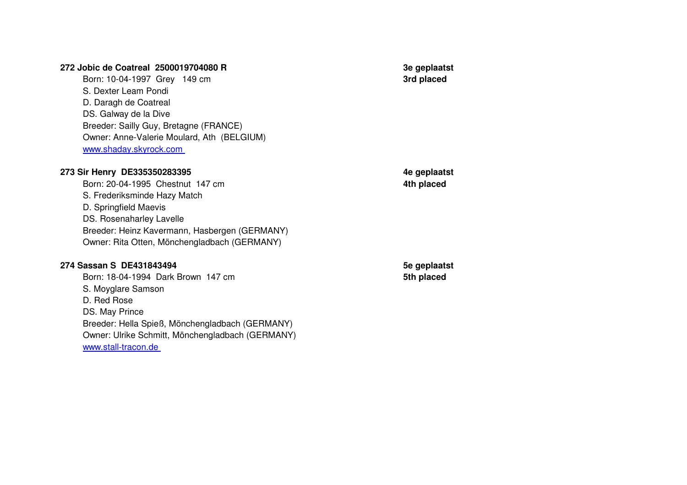#### **272 Jobic de Coatreal 2500019704080 R**

Born: 10-04-1997 Grey 149 cm**3rd placed 3rd placed** S. Dexter Leam Pondi D. Daragh de Coatreal DS. Galway de la Dive Breeder: Sailly Guy, Bretagne (FRANCE) Owner: Anne-Valerie Moulard, Ath (BELGIUM)www.shaday.skyrock.com

# **3e geplaatst**

#### **273 Sir Henry DE335350283395**

Born: 20-04-1995 Chestnut 147 cmS. Frederiksminde Hazy MatchD. Springfield Maevis DS. Rosenaharley Lavelle Breeder: Heinz Kavermann, Hasbergen (GERMANY)Owner: Rita Otten, Mönchengladbach (GERMANY)

#### **274 Sassan S DE431843494**

Born: 18-04-1994 Dark Brown 147 cmS. Moyglare SamsonD. Red Rose DS. May Prince Breeder: Hella Spieß, Mönchengladbach (GERMANY) Owner: Ulrike Schmitt, Mönchengladbach (GERMANY)www.stall-tracon.de

 **4e geplaatst 4th placed**

 **5e geplaatst 5th placed**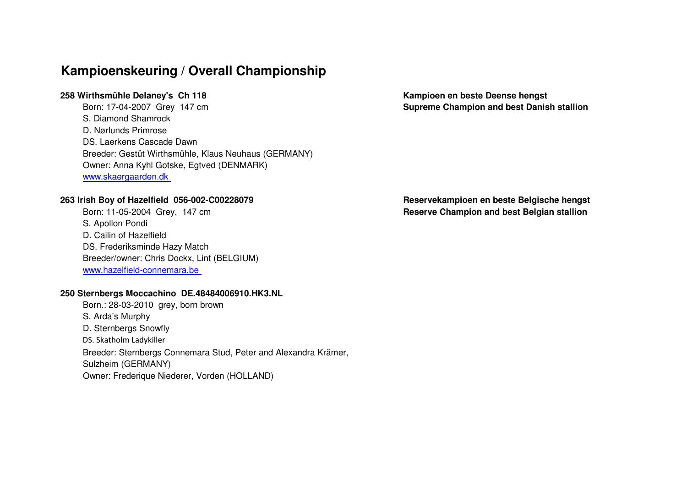### **Kampioenskeuring / Overall Championship**

#### **258 Wirthsmühle Delaney's Ch 118**

Born: 17-04-2007 Grey 147 cmS. Diamond Shamrock D. Nørlunds Primrose DS. Laerkens Cascade Dawn Breeder: Gestüt Wirthsmühle, Klaus Neuhaus (GERMANY)Owner: Anna Kyhl Gotske, Egtved (DENMARK)www.skaergaarden.dk

#### **263 Irish Boy of Hazelfield 056-002-C00228079**

Born: 11-05-2004 Grey, 147 cmS. Apollon Pondi D. Cailin of Hazelfield DS. Frederiksminde Hazy Match Breeder/owner: Chris Dockx, Lint (BELGIUM)www.hazelfield-connemara.be

#### **250 Sternbergs Moccachino DE.48484006910.HK3.NL**

Born.: 28-03-2010 grey, born brownS. Arda's Murphy D. Sternbergs Snowfly DS. Skatholm LadykillerBreeder: Sternbergs Connemara Stud, Peter and Alexandra Krämer, Sulzheim (GERMANY)Owner: Frederique Niederer, Vorden (HOLLAND)

 **Kampioen en beste Deense hengst Supreme Champion and best Danish stallion**

 **Reservekampioen en beste Belgische hengst Reserve Champion and best Belgian stallion**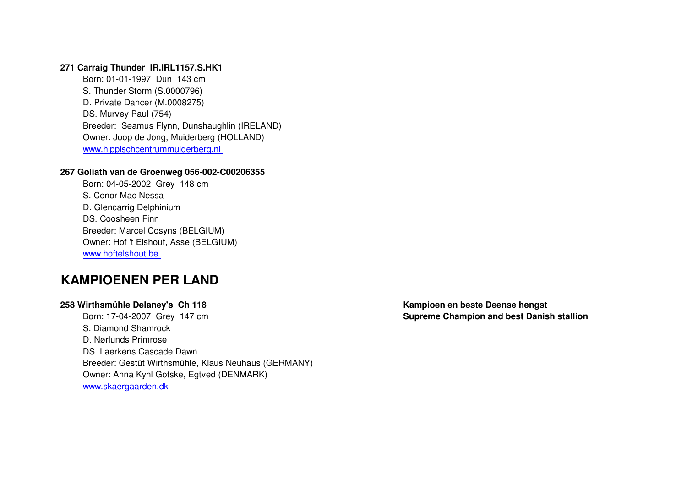#### **271 Carraig Thunder IR.IRL1157.S.HK1**

Born: 01-01-1997 Dun 143 cm S. Thunder Storm (S.0000796) D. Private Dancer (M.0008275)DS. Murvey Paul (754) Breeder: Seamus Flynn, Dunshaughlin (IRELAND)Owner: Joop de Jong, Muiderberg (HOLLAND)www.hippischcentrummuiderberg.nl

#### **267 Goliath van de Groenweg 056-002-C00206355**

Born: 04-05-2002 Grey 148 cmS. Conor Mac Nessa D. Glencarrig DelphiniumDS. Coosheen Finn Breeder: Marcel Cosyns (BELGIUM) Owner: Hof 't Elshout, Asse (BELGIUM)www.hoftelshout.be

### **KAMPIOENEN PER LAND**

#### **258 Wirthsmühle Delaney's Ch 118**

Born: 17-04-2007 Grey 147 cmS. Diamond Shamrock D. Nørlunds Primrose DS. Laerkens Cascade Dawn Breeder: Gestüt Wirthsmühle, Klaus Neuhaus (GERMANY)Owner: Anna Kyhl Gotske, Egtved (DENMARK)www.skaergaarden.dk

 **Kampioen en beste Deense hengst Supreme Champion and best Danish stallion**